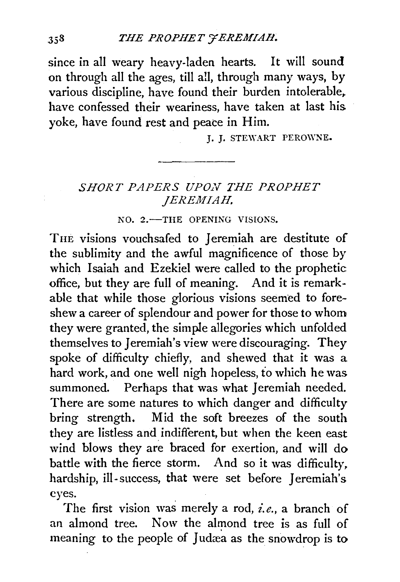since in all weary heavy-laden hearts. It will sound on through all the ages, till all, through many ways, by various discipline, have found their burden intolerable,. have confessed their weariness, have taken at last his yoke, have found rest and peace in Him.

J. J. STEWART PEROWNE.

## SHORT PAPERS UPON THE PROPHET *JEREMIAH.*

NO. 2.-THE OPENING VISIONS.

THE visions vouchsafed to Jeremiah are destitute of the sublimity and the awful magnificence of those by which Isaiah and Ezekiel were called to the prophetic office, but they are full of meaning. And it is remarkable that while those glorious visions seemed to foreshew a career of splendour and power for those to whom they were granted, the simple allegories which unfolded themselves to Jeremiah's view were discouraging. They spoke of difficulty chiefly, and shewed that it was a hard work, and one well nigh hopeless, to which he was summoned. Perhaps that was what Jeremiah needed. There are some natures to which danger and difficulty bring strength. Mid the soft breezes of the south they are listless and indifferent, but when the keen east wind blows they are braced for exertion, and will do battle with the fierce storm. And so it was difficulty. hardship, ill-success, that were set before Jeremiah's eyes.

The first vision was merely a rod, *i.e.,* a branch of an almond tree. Now the almond tree is as full of meaning to the people of Judæa as the snowdrop is to

 $358$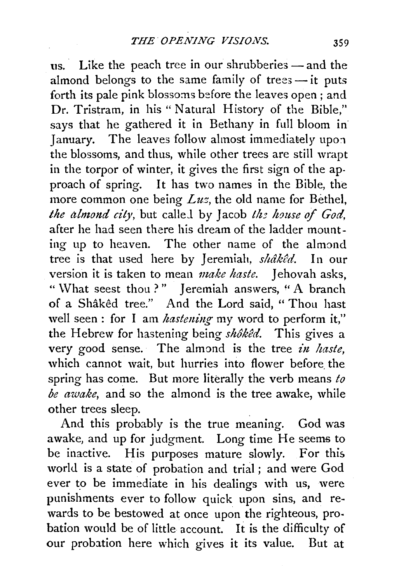us. Like the peach tree in our shrubberies  $-$  and the almond belongs to the same family of trees $-$  it puts forth its pale pink blossoms before the leaves open; and Dr. Tristram, in his " Natural History of the Bible," says that he gathered it in Bethany in full bloom in January. The leaves follow almost immediately upon the blossoms, and thus, while other trees are still wrapt in the torpor of winter, it gives the first sign of the approach of spring. It has two names in the Bible, the more common one being *Luz*, the old name for Bethel, *the almond city, but called by Jacob the house of God,* after he had seen there his dream of the ladder mounting up to heaven. The other name of the almond tree is that used here by Jeremiah, shâkêd. In our version it is taken to mean *make haste*. Jehovah asks, " What seest thou ?" Jeremiah answers, "A branch of a Shaked tree." And the Lord said, " Thou hast well seen : for I am *hastening* my word to perform it," the Hebrew for hastening being *shôkêd*. This gives a very good sense. The almond is the tree *in haste*, which cannot wait, but hurries into flower before the spring has come. But more literally the verb means *to be awake,* and so the almond is the tree awake, while other trees sleep.

And this probably is the true meaning. God was awake, and up for judgment. Long time He seems to be inactive. His purposes mature slowly. For this world is a state of probation and trial ; and were God ever to be immediate in his dealings with us, were punishments ever to follow quick upon sins, and rewards to be bestowed at once upon the righteous, pro. bation would be of little account. It is the difficulty of our probation here which gives it its value. But at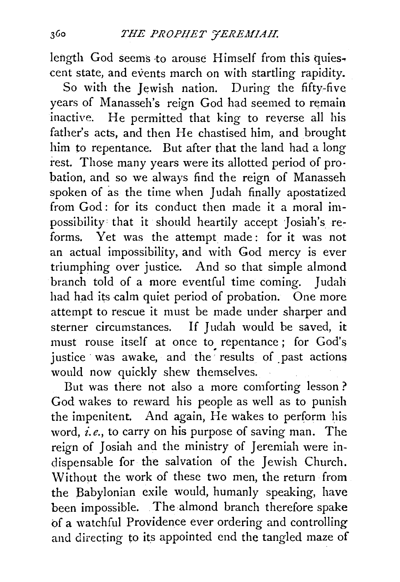length God seems to arouse Himself from this quiescent state, and events march on with startling rapidity.

So with the Jewish nation. During the fifty-five years of Manasseh's reign God had seemed to remain inactive. He permitted that king to reverse all his father's acts, and then He chastised him, and brought him to repentance. But after that the land had a long rest. Those many years were its allotted period of probation, and so we always find the reign of Manasseh spoken of as the time when Judah finally apostatized from God: for its conduct then made it a moral impossibility that it should heartily accept Josiah's reforms. Yet was the attempt made: for it was not an actual impossibility, and with God mercy is ever triumphing over justice. And so that simple almond branch told of a more eventful time coming. Judah had had its calm quiet period of probation. One more attempt to rescue it must be made under sharper and sterner circumstances. If Judah would be saved, it must rouse itself at once to repentance; for God's justice was awake, and the results of past actions would now quickly shew themselves.

But was there not also a more comforting lesson ? God wakes to reward his people as well as to punish the impenitent. And again, He wakes to perform his word, *i.e.*, to carry on his purpose of saving man. The reign of Josiah and the ministry of Jeremiah were indispensable for the salvation of the Jewish Church. \:Vithout the work of these two men, the return from the Babylonian exile would, humanly speaking, have been impossible. . The almond branch therefore spake of a watchful Providence ever ordering and controlling and directing to its appointed end the tangled maze of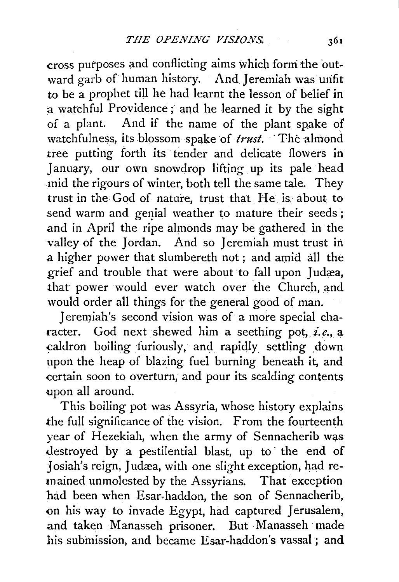cross purposes and conflicting aims which form the outward garb of human history. And Jeremiah was unfit to be a prophet till he had learnt the lesson of belief in a watchful Providence ; and he learned it by the sight of a plant. And if the name of the plant spake of watchfulness, its blossom spake of *trust*. The almond tree putting forth its tender and delicate flowers in January, our own snowdrop lifting up its pale head mid the rigours of winter, both tell the same tale. They trust in the God of nature, trust that He is about to send warm and genial weather to mature their seeds; and in April the ripe almonds may be gathered in the valley of the Jordan. And so Jeremiah must ttust in a higher power that slumbereth not; and amid. all the grief and trouble that were about to fall upon Judæa, that power would ever watch over the Church, and would order all things for the general good of man.

Jeremiah's second vision was of a more special character. God next shewed him a seething pot, *i.e.*, a caldron boiling furiously, and rapidly settling down upon the heap of blazing fuel burning beneath it, and certain soon to overturn, and pour its scalding contents upon all around.

This boiling pot was Assyria, whose history explains .the full significance of the vision. From the fourteenth year of Hezekiah, when the army of Sennacherib was destroyed by a pestilential blast, up to the end of Josiah's reign, Judæa, with one slight exception, had remained unmolested by the Assyrians. That exception had been when Esar-haddon, the son of Sennacherib, <>n his way to invade Egypt, had captured Jerusalem, and taken Manasseh prisoner. But Manasseh ·made his suhmission, and became Esar-haddon's vassal ; and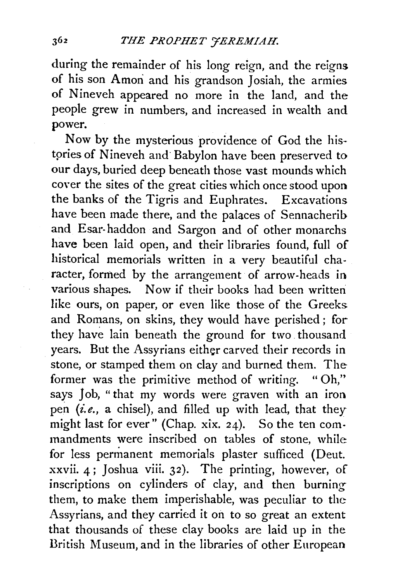during the remainder of his long reign, and the reigns of his son Amon and his grandson Josiah, the armies of Nineveh appeared no more in the land, and the people grew in numbers, and increased in wealth and power.

Now by the mysterious providence of God the histpries of Nineveh and· Babylon have been preserved to our days, buried deep beneath those vast mounds which cover the sites of the great cities which once stood upon the banks of the Tigris and Euphrates. Excavations have been made there, and the palaces of Sennacherib and Esar-haddon and Sargon and of other monarchs have been laid open, and their libraries found, full of historical memorials written in a very beautiful character, formed by the arrangement of arrow-heads in various shapes. Now if their books had been written like ours, on paper, or even like those of the Greeks and Romans, on skins, they would have perished ; for they have lain beneath the ground for two thousand years. But the Assyrians either carved their records in stone, or stamped them on clay and burned them. The former was the primitive method of writing. " Oh," says Job, "that my words were graven with an iron pen *(i.e.,* a chisel), and filled up with lead, that they might last for ever" (Chap. xix. 24). So the ten commandments were inscribed on tables of stone, while for less permanent memorials plaster sufficed (Deut. xxvii. 4; Joshua viii. 32). The printing, however, of inscriptions on cylinders of clay, and then burning them, to make them imperishable, was peculiar to the Assyrians, and they carried it on to so great an extent that thousands of these clay books are laid up in the British Museum, and in the libraries of other European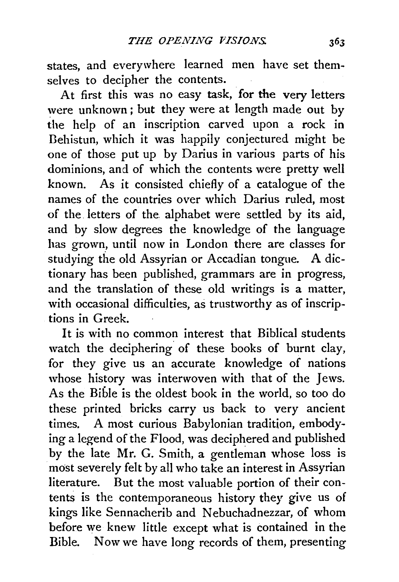states, and everywhere learned men have set themselves to decipher the contents.

At first this was no easy task, for the very letters were unknown ; but they were at length made out by the help of an inscription carved upon a rock in Dehistun, which it was happily conjectured might be one of those put up by Darius in various parts of his dominions, and of which the contents were pretty well known. As it consisted chiefly of a catalogue of the names of the countries over which Darius ruled, most of the letters of the. alphabet were settled by its aid, and by slow degrees the knowledge of the language has grown, until now in London there are classes for studying the old Assyrian or Accadian tongue. A dictionary has been published, grammars are in progress, and the translation of these old writings is a matter, with occasional difficulties, as trustworthy as of inscriptions in Greek.

It is with no common interest that Biblical students watch the deciphering of these books of burnt clay, for they give us an accurate knowledge of nations whose history was interwoven with that of the Jews. As the Bible is the oldest book in the world, so too do these printed bricks carry us back to very ancient times. A most curious Babylonian tradition, embodying a legend of the Flood, was deciphered and published by the late Mr. G. Smith, a gentleman whose loss is most severely felt by all who take an interest in Assyrian literature. But the most valuable portion of their contents is the contemporaneous history they give us of kings like Sennacherib and Nebuchadnezzar, of whom before we knew little except what is contained in the Bible. Now we have long records of them, presenting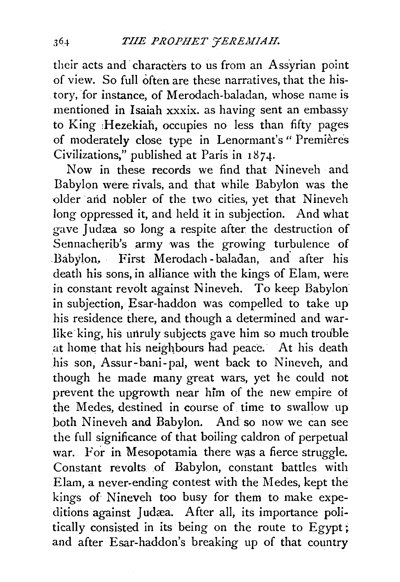their acts and· characters to us from an Assyrian point of view. So full often are these narratives, that the his tory, for instance, of Merodach-baladan, whose name is mentioned in Isaiah xxxix. as having sent an embassy to King :Hezekiah, occupies no less than fifty pages of moderately close type in Lenormant's" Premieres Civilizations," published at Paris in 18 *7* 4·

Now in these records we find that Nineveh and Babylon were rivals, and that while Babylon was the older arid nobler of the two cities, yet that Nineveh long oppressed it, and held it in subjection. And what gave Judæa so long a respite after the destruction of Sennacherib's army was the growing turbulence of Babylon. First Merodach-baladan, and after his death his sons, in alliance with the kings of Elam, were in constant revolt against Nineveh. To keep Babylon in subjection, Esar-haddon was compelled to take up his residence there, and though a determined and warlike king, his unruly subjects gave him so much trouble at home that his neighbours had peace. At his death his son, Assur-bani-pal, went back to Nineveh, and though he made many great wars, yet he could not prevent the upgrowth near him of the new empire of the Medes, destined in course of time to swallow up both Nineveh and Babylon. And so now we can see the full significance of that boiling caldron of perpetual war. For in Mesopotamia there was a fierce struggle. Constant revolts of Babylon, constant battles with Elam, a never-ending contest with the Medes, kept the kings of Nineveh too busy for them to make expeditions against Judæa. After all, its importance politically consisted in its being on the route to Egypt; and after Esar-haddon's breaking up of that country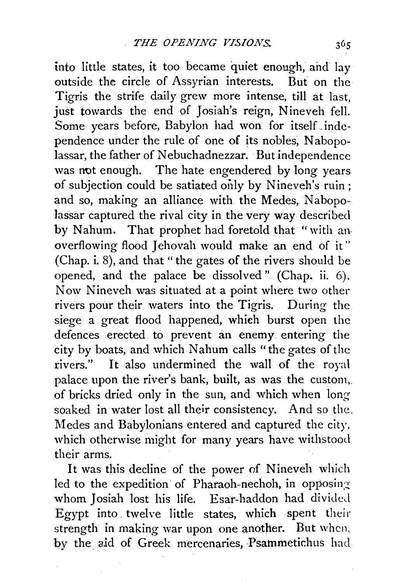into little states, it too became quiet enough, and lay outside the circle of Assyrian interests. But on the Tigris the strife daily grew more intense, till at last, just towards the end of Josiah's reign, Nineveh fell. Some years before, Babylon had won for itself. independence under the rule of one of its nobles, Nabopolassar, the father of Nebuchadnezzar. But independence was not enough. The hate engendered by long years of subjection could be satiated only by Nineveh's ruin; and so, making an alliance with the Medes, Nabopolassar captured the rival city in the very way described by Nahum. That prophet had foretold that "with an· overflowing flood Jehovah would make an end of it" (Chap. i. 8), and that" the gates of the rivers should be opened, and the palace be dissolved" (Chap. ii. 6). Now Nineveh was situated at a point where two other rivers pour their waters into the Tigris. During the siege a great flood happened, which burst open the defences erected to prevent an enemy. entering the city by boats, and which Nahum calls "the gates of the rivers." It also undermined the wall of the royal palace upon the river's bank, built, as was the custom,. of bricks dried only in the sun, and which when longsoaked in water lost all their consistency. And so the. Medes and Babylonians entered and captured the city, which otherwise might for many years have withstood their arms.

It was this decline of the power of Nineveh which led to the expedition of Pharaoh-nechoh, in opposing whom Josiah lost his life. Esar-haddon had divided Egypt into. twelve little states, which spent their strength in making war upon one another. But when, by the aid of Greek mercenaries, Psammetichus had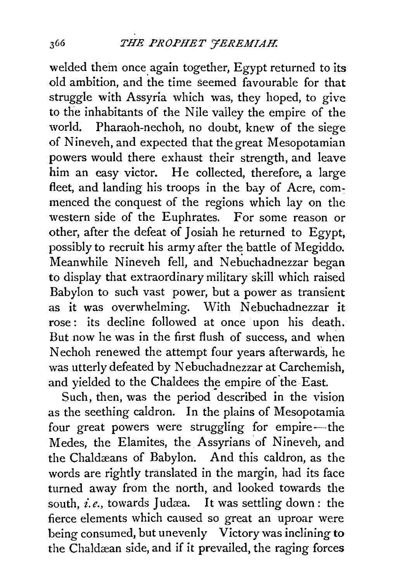welded them once again together, Egypt returned to its old ambition, and the time seemed favourable for that struggle with Assyria which was, they hoped, to give to the inhabitants of the Nile valley the empire of the world. Pharaoh-nechoh, no doubt, knew of the siege of Nineveh, and expected that the great Mesopotamian powers would there exhaust their strength, and leave him an easy victor. He collected, therefore, a large fleet, and landing his troops in the bay of Acre, commenced the conquest of the regions which lay on the western side of the Euphrates. For some reason or other, after the defeat of Josiah he returned to Egypt, possibly to recruit his army after the battle of Megiddo. Meanwhile Nineveh fell, and Nebuchadnezzar began to display that extraordinary military skill which raised Babylon to such vast power, but a power as transient as it was overwhelming. With Nebuchadnezzar it rose: its decline followed at once upon his death. But now he was in the first flush of success, and when Nechoh renewed the attempt four years afterwards, he was utterly defeated by Nebuchadnezzar at Carchemish, and yielded to the Chaldees the empire of the East.

Such, then, was the period described in the vision as the seething caldron. In the plains of Mesopotamia four great powers were struggling for empire-the Medes, the Elamites, the Assyrians of Nineveh, and the Chaldæans of Babylon. And this caldron, as the words are rightly translated in the margin, had its face turned away from the north, and looked towards the south, *i.e.*, towards Judæa. It was settling down: the fierce elements which caused so great an uproar were being consumed, but unevenly Victory was inclining to the Chaldæan side, and if it prevailed, the raging forces

366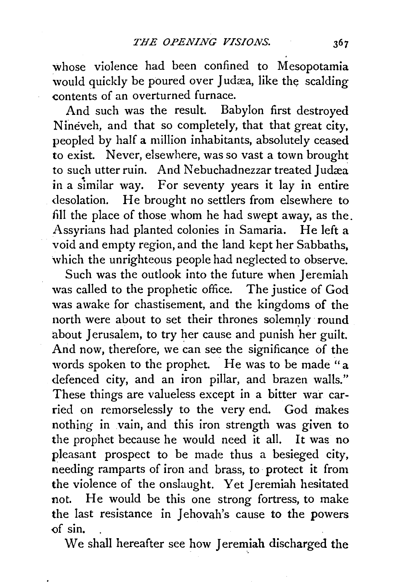whose violence had been confined to Mesopotamia would quickly be poured over Judæa, like the scalding contents of an overturned furnace.

And such was the result. Babylon first destroyed Nineveh, and that so completely, that that great city, peopled by half a million inhabitants, absolutely ceased to exist. Never, elsewhere, was so vast a town brought to such utter ruin. And Nebuchadnezzar treated Judæa in a similar way. For seventy years it lay in entire desolation. He brought no settlers from elsewhere to fill the place of those whom he had swept away, as the. Assyrians had planted colonies in Samaria. He left a void and empty region, and the land kept her Sabbaths, which the unrighteous people had neglected to observe.

Such was the outlook into the future when *Jeremiah* was called to the prophetic office. The justice of God was awake for chastisement, and the kingdoms of the north were about to set their thrones solemnly round about Jerusalem, to try her cause and punish her guilt. And now, therefore, we can see the significance of the words spoken to the prophet. He was to be made "a defenced city, and an iron pillar, and brazen walls." These things are valueless except in a bitter war carried on remorselessly to the very end. God makes nothing in .vain, and this iron strength was given to the prophet because he would need it all. It was no pleasant prospect to be made thus a besieged city, needing ramparts of iron and brass, to protect it from the violence of the onslaught. Yet Jeremiah hesitated not. He would be this one strong fortress, to make the last resistance in Jehovah's cause to the powers Qf sin.

We shall hereafter see how Jeremiah discharged the